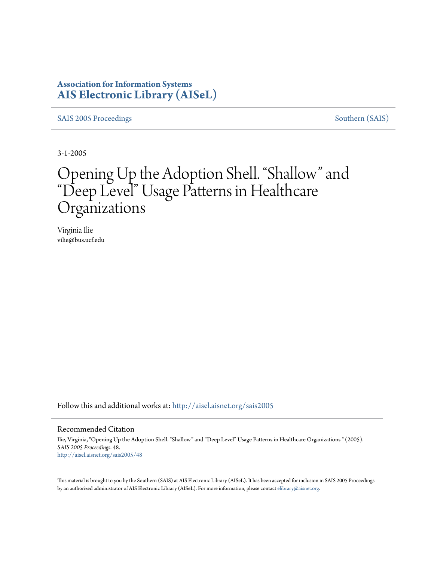## **Association for Information Systems [AIS Electronic Library \(AISeL\)](http://aisel.aisnet.org?utm_source=aisel.aisnet.org%2Fsais2005%2F48&utm_medium=PDF&utm_campaign=PDFCoverPages)**

[SAIS 2005 Proceedings](http://aisel.aisnet.org/sais2005?utm_source=aisel.aisnet.org%2Fsais2005%2F48&utm_medium=PDF&utm_campaign=PDFCoverPages) [Southern \(SAIS\)](http://aisel.aisnet.org/sais?utm_source=aisel.aisnet.org%2Fsais2005%2F48&utm_medium=PDF&utm_campaign=PDFCoverPages)

3-1-2005

# Opening Up the Adoption Shell. "Shallow" and "Deep Level" Usage Patterns in Healthcare Organizations

Virginia Ilie vilie@bus.ucf.edu

Follow this and additional works at: [http://aisel.aisnet.org/sais2005](http://aisel.aisnet.org/sais2005?utm_source=aisel.aisnet.org%2Fsais2005%2F48&utm_medium=PDF&utm_campaign=PDFCoverPages)

#### Recommended Citation

Ilie, Virginia, "Opening Up the Adoption Shell. "Shallow" and "Deep Level" Usage Patterns in Healthcare Organizations " (2005). *SAIS 2005 Proceedings*. 48. [http://aisel.aisnet.org/sais2005/48](http://aisel.aisnet.org/sais2005/48?utm_source=aisel.aisnet.org%2Fsais2005%2F48&utm_medium=PDF&utm_campaign=PDFCoverPages)

This material is brought to you by the Southern (SAIS) at AIS Electronic Library (AISeL). It has been accepted for inclusion in SAIS 2005 Proceedings by an authorized administrator of AIS Electronic Library (AISeL). For more information, please contact [elibrary@aisnet.org](mailto:elibrary@aisnet.org%3E).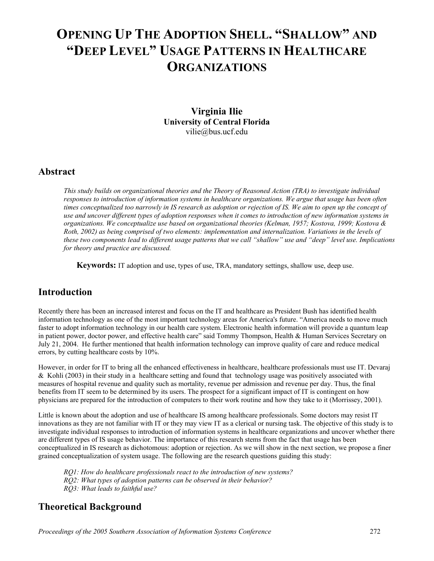## **OPENING UP THE ADOPTION SHELL. "SHALLOW" AND "DEEP LEVEL" USAGE PATTERNS IN HEALTHCARE ORGANIZATIONS**

**Virginia Ilie University of Central Florida**  vilie@bus.ucf.edu

#### **Abstract**

*This study builds on organizational theories and the Theory of Reasoned Action (TRA) to investigate individual responses to introduction of information systems in healthcare organizations. We argue that usage has been often times conceptualized too narrowly in IS research as adoption or rejection of IS. We aim to open up the concept of use and uncover different types of adoption responses when it comes to introduction of new information systems in organizations. We conceptualize use based on organizational theories (Kelman, 1957; Kostova, 1999; Kostova & Roth, 2002) as being comprised of two elements: implementation and internalization. Variations in the levels of these two components lead to different usage patterns that we call "shallow" use and "deep" level use. Implications for theory and practice are discussed.*

 **Keywords:** IT adoption and use, types of use, TRA, mandatory settings, shallow use, deep use.

## **Introduction**

Recently there has been an increased interest and focus on the IT and healthcare as President Bush has identified health information technology as one of the most important technology areas for America's future. "America needs to move much faster to adopt information technology in our health care system. Electronic health information will provide a quantum leap in patient power, doctor power, and effective health care" said Tommy Thompson, Health & Human Services Secretary on July 21, 2004. He further mentioned that health information technology can improve quality of care and reduce medical errors, by cutting healthcare costs by 10%.

However, in order for IT to bring all the enhanced effectiveness in healthcare, healthcare professionals must use IT. Devaraj & Kohli (2003) in their study in a healthcare setting and found that technology usage was positively associated with measures of hospital revenue and quality such as mortality, revenue per admission and revenue per day. Thus, the final benefits from IT seem to be determined by its users. The prospect for a significant impact of IT is contingent on how physicians are prepared for the introduction of computers to their work routine and how they take to it (Morrissey, 2001).

Little is known about the adoption and use of healthcare IS among healthcare professionals. Some doctors may resist IT innovations as they are not familiar with IT or they may view IT as a clerical or nursing task. The objective of this study is to investigate individual responses to introduction of information systems in healthcare organizations and uncover whether there are different types of IS usage behavior. The importance of this research stems from the fact that usage has been conceptualized in IS research as dichotomous: adoption or rejection. As we will show in the next section, we propose a finer grained conceptualization of system usage. The following are the research questions guiding this study:

*RQ1: How do healthcare professionals react to the introduction of new systems? RQ2: What types of adoption patterns can be observed in their behavior? RQ3: What leads to faithful use?* 

## **Theoretical Background**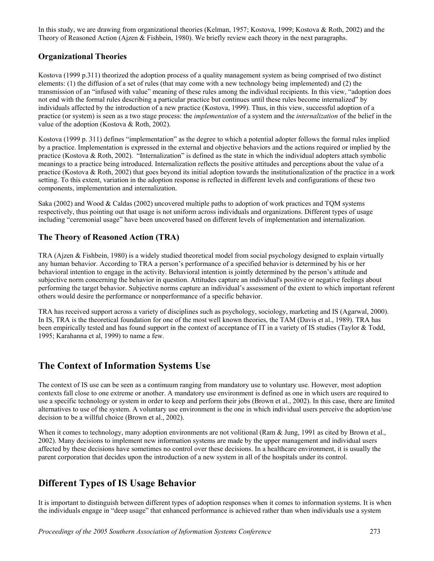In this study, we are drawing from organizational theories (Kelman, 1957; Kostova, 1999; Kostova & Roth, 2002) and the Theory of Reasoned Action (Ajzen & Fishbein, 1980). We briefly review each theory in the next paragraphs.

#### **Organizational Theories**

Kostova (1999 p.311) theorized the adoption process of a quality management system as being comprised of two distinct elements: (1) the diffusion of a set of rules (that may come with a new technology being implemented) and (2) the transmission of an "infused with value" meaning of these rules among the individual recipients. In this view, "adoption does not end with the formal rules describing a particular practice but continues until these rules become internalized" by individuals affected by the introduction of a new practice (Kostova, 1999). Thus, in this view, successful adoption of a practice (or system) is seen as a two stage process: the *implementation* of a system and the *internalization* of the belief in the value of the adoption (Kostova & Roth, 2002).

Kostova (1999 p. 311) defines "implementation" as the degree to which a potential adopter follows the formal rules implied by a practice. Implementation is expressed in the external and objective behaviors and the actions required or implied by the practice (Kostova & Roth, 2002). "Internalization" is defined as the state in which the individual adopters attach symbolic meanings to a practice being introduced. Internalization reflects the positive attitudes and perceptions about the value of a practice (Kostova & Roth, 2002) that goes beyond its initial adoption towards the institutionalization of the practice in a work setting. To this extent, variation in the adoption response is reflected in different levels and configurations of these two components, implementation and internalization.

Saka (2002) and Wood & Caldas (2002) uncovered multiple paths to adoption of work practices and TQM systems respectively, thus pointing out that usage is not uniform across individuals and organizations. Different types of usage including "ceremonial usage" have been uncovered based on different levels of implementation and internalization.

#### **The Theory of Reasoned Action (TRA)**

TRA (Ajzen & Fishbein, 1980) is a widely studied theoretical model from social psychology designed to explain virtually any human behavior. According to TRA a person's performance of a specified behavior is determined by his or her behavioral intention to engage in the activity. Behavioral intention is jointly determined by the person's attitude and subjective norm concerning the behavior in question. Attitudes capture an individual's positive or negative feelings about performing the target behavior. Subjective norms capture an individual's assessment of the extent to which important referent others would desire the performance or nonperformance of a specific behavior.

TRA has received support across a variety of disciplines such as psychology, sociology, marketing and IS (Agarwal, 2000). In IS, TRA is the theoretical foundation for one of the most well known theories, the TAM (Davis et al., 1989). TRA has been empirically tested and has found support in the context of acceptance of IT in a variety of IS studies (Taylor & Todd, 1995; Karahanna et al, 1999) to name a few.

## **The Context of Information Systems Use**

The context of IS use can be seen as a continuum ranging from mandatory use to voluntary use. However, most adoption contexts fall close to one extreme or another. A mandatory use environment is defined as one in which users are required to use a specific technology or system in order to keep and perform their jobs (Brown et al., 2002). In this case, there are limited alternatives to use of the system. A voluntary use environment is the one in which individual users perceive the adoption/use decision to be a willful choice (Brown et al., 2002).

When it comes to technology, many adoption environments are not volitional (Ram & Jung, 1991 as cited by Brown et al., 2002). Many decisions to implement new information systems are made by the upper management and individual users affected by these decisions have sometimes no control over these decisions. In a healthcare environment, it is usually the parent corporation that decides upon the introduction of a new system in all of the hospitals under its control.

## **Different Types of IS Usage Behavior**

It is important to distinguish between different types of adoption responses when it comes to information systems. It is when the individuals engage in "deep usage" that enhanced performance is achieved rather than when individuals use a system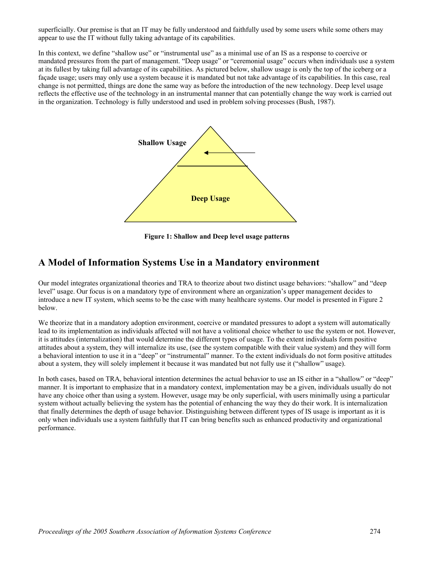superficially. Our premise is that an IT may be fully understood and faithfully used by some users while some others may appear to use the IT without fully taking advantage of its capabilities.

In this context, we define "shallow use" or "instrumental use" as a minimal use of an IS as a response to coercive or mandated pressures from the part of management. "Deep usage" or "ceremonial usage" occurs when individuals use a system at its fullest by taking full advantage of its capabilities. As pictured below, shallow usage is only the top of the iceberg or a façade usage; users may only use a system because it is mandated but not take advantage of its capabilities. In this case, real change is not permitted, things are done the same way as before the introduction of the new technology. Deep level usage reflects the effective use of the technology in an instrumental manner that can potentially change the way work is carried out in the organization. Technology is fully understood and used in problem solving processes (Bush, 1987).



**Figure 1: Shallow and Deep level usage patterns** 

## **A Model of Information Systems Use in a Mandatory environment**

Our model integrates organizational theories and TRA to theorize about two distinct usage behaviors: "shallow" and "deep level" usage. Our focus is on a mandatory type of environment where an organization's upper management decides to introduce a new IT system, which seems to be the case with many healthcare systems. Our model is presented in Figure 2 below.

We theorize that in a mandatory adoption environment, coercive or mandated pressures to adopt a system will automatically lead to its implementation as individuals affected will not have a volitional choice whether to use the system or not. However, it is attitudes (internalization) that would determine the different types of usage. To the extent individuals form positive attitudes about a system, they will internalize its use, (see the system compatible with their value system) and they will form a behavioral intention to use it in a "deep" or "instrumental" manner. To the extent individuals do not form positive attitudes about a system, they will solely implement it because it was mandated but not fully use it ("shallow" usage).

In both cases, based on TRA, behavioral intention determines the actual behavior to use an IS either in a "shallow" or "deep" manner. It is important to emphasize that in a mandatory context, implementation may be a given, individuals usually do not have any choice other than using a system. However, usage may be only superficial, with users minimally using a particular system without actually believing the system has the potential of enhancing the way they do their work. It is internalization that finally determines the depth of usage behavior. Distinguishing between different types of IS usage is important as it is only when individuals use a system faithfully that IT can bring benefits such as enhanced productivity and organizational performance.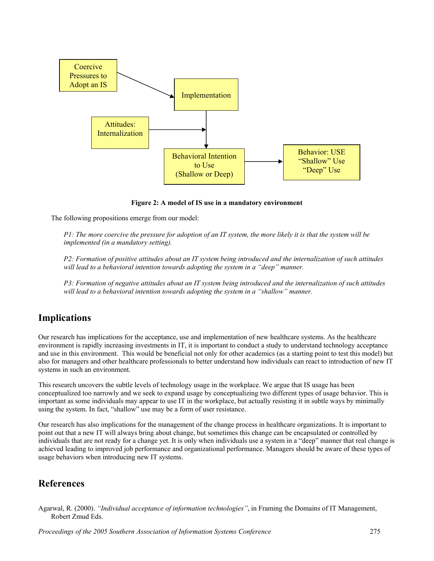

**Figure 2: A model of IS use in a mandatory environment** 

The following propositions emerge from our model:

*P1: The more coercive the pressure for adoption of an IT system, the more likely it is that the system will be implemented (in a mandatory setting).* 

*P2: Formation of positive attitudes about an IT system being introduced and the internalization of such attitudes will lead to a behavioral intention towards adopting the system in a "deep" manner.* 

*P3: Formation of negative attitudes about an IT system being introduced and the internalization of such attitudes will lead to a behavioral intention towards adopting the system in a "shallow" manner.* 

## **Implications**

Our research has implications for the acceptance, use and implementation of new healthcare systems. As the healthcare environment is rapidly increasing investments in IT, it is important to conduct a study to understand technology acceptance and use in this environment. This would be beneficial not only for other academics (as a starting point to test this model) but also for managers and other healthcare professionals to better understand how individuals can react to introduction of new IT systems in such an environment.

This research uncovers the subtle levels of technology usage in the workplace. We argue that IS usage has been conceptualized too narrowly and we seek to expand usage by conceptualizing two different types of usage behavior. This is important as some individuals may appear to use IT in the workplace, but actually resisting it in subtle ways by minimally using the system. In fact, "shallow" use may be a form of user resistance.

Our research has also implications for the management of the change process in healthcare organizations. It is important to point out that a new IT will always bring about change, but sometimes this change can be encapsulated or controlled by individuals that are not ready for a change yet. It is only when individuals use a system in a "deep" manner that real change is achieved leading to improved job performance and organizational performance. Managers should be aware of these types of usage behaviors when introducing new IT systems.

#### **References**

Agarwal, R. (2000). *"Individual acceptance of information technologies"*, in Framing the Domains of IT Management, Robert Zmud Eds.